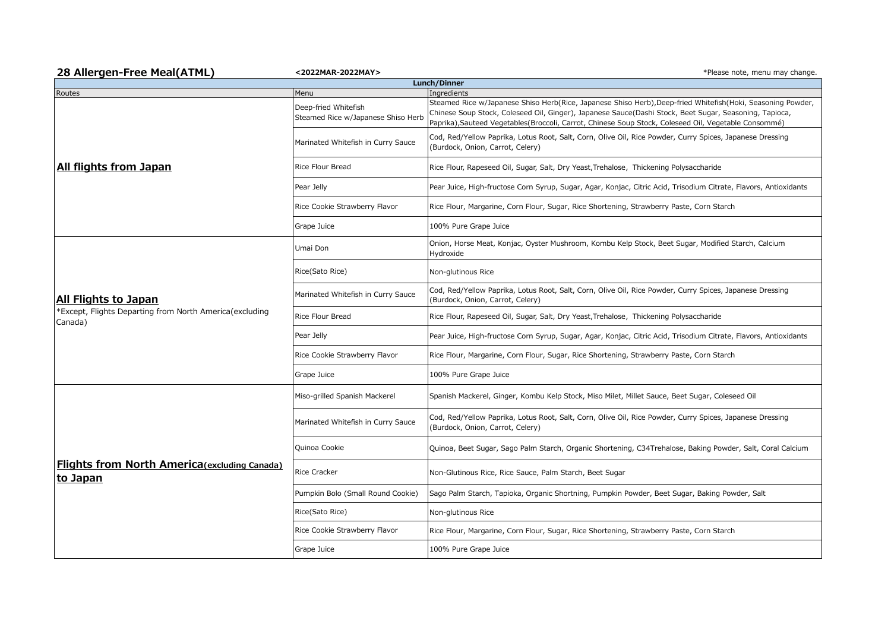| 28 Allergen-Free Meal(ATML)                                                                | <2022MAR-2022MAY>                                                  | *Please note, menu may change.                                                                                                                                                                                                                                                                                                                |  |  |
|--------------------------------------------------------------------------------------------|--------------------------------------------------------------------|-----------------------------------------------------------------------------------------------------------------------------------------------------------------------------------------------------------------------------------------------------------------------------------------------------------------------------------------------|--|--|
| Lunch/Dinner                                                                               |                                                                    |                                                                                                                                                                                                                                                                                                                                               |  |  |
| Routes<br>All flights from Japan                                                           | Menu<br>Deep-fried Whitefish<br>Steamed Rice w/Japanese Shiso Herb | Ingredients<br>Steamed Rice w/Japanese Shiso Herb(Rice, Japanese Shiso Herb), Deep-fried Whitefish(Hoki, Seasoning Powder,<br>Chinese Soup Stock, Coleseed Oil, Ginger), Japanese Sauce(Dashi Stock, Beet Sugar, Seasoning, Tapioca,<br>Paprika), Sauteed Vegetables (Broccoli, Carrot, Chinese Soup Stock, Coleseed Oil, Vegetable Consommé) |  |  |
|                                                                                            | Marinated Whitefish in Curry Sauce                                 | Cod, Red/Yellow Paprika, Lotus Root, Salt, Corn, Olive Oil, Rice Powder, Curry Spices, Japanese Dressing<br>(Burdock, Onion, Carrot, Celery)                                                                                                                                                                                                  |  |  |
|                                                                                            | <b>Rice Flour Bread</b>                                            | Rice Flour, Rapeseed Oil, Sugar, Salt, Dry Yeast, Trehalose, Thickening Polysaccharide                                                                                                                                                                                                                                                        |  |  |
|                                                                                            | Pear Jelly                                                         | Pear Juice, High-fructose Corn Syrup, Sugar, Agar, Konjac, Citric Acid, Trisodium Citrate, Flavors, Antioxidants                                                                                                                                                                                                                              |  |  |
|                                                                                            | Rice Cookie Strawberry Flavor                                      | Rice Flour, Margarine, Corn Flour, Sugar, Rice Shortening, Strawberry Paste, Corn Starch                                                                                                                                                                                                                                                      |  |  |
|                                                                                            | Grape Juice                                                        | 100% Pure Grape Juice                                                                                                                                                                                                                                                                                                                         |  |  |
| All Flights to Japan<br>*Except, Flights Departing from North America(excluding<br>Canada) | Umai Don                                                           | Onion, Horse Meat, Konjac, Oyster Mushroom, Kombu Kelp Stock, Beet Sugar, Modified Starch, Calcium<br>Hydroxide                                                                                                                                                                                                                               |  |  |
|                                                                                            | Rice(Sato Rice)                                                    | Non-glutinous Rice                                                                                                                                                                                                                                                                                                                            |  |  |
|                                                                                            | Marinated Whitefish in Curry Sauce                                 | Cod, Red/Yellow Paprika, Lotus Root, Salt, Corn, Olive Oil, Rice Powder, Curry Spices, Japanese Dressing<br>(Burdock, Onion, Carrot, Celery)                                                                                                                                                                                                  |  |  |
|                                                                                            | <b>Rice Flour Bread</b>                                            | Rice Flour, Rapeseed Oil, Sugar, Salt, Dry Yeast, Trehalose, Thickening Polysaccharide                                                                                                                                                                                                                                                        |  |  |
|                                                                                            | Pear Jelly                                                         | Pear Juice, High-fructose Corn Syrup, Sugar, Agar, Konjac, Citric Acid, Trisodium Citrate, Flavors, Antioxidants                                                                                                                                                                                                                              |  |  |
|                                                                                            | Rice Cookie Strawberry Flavor                                      | Rice Flour, Margarine, Corn Flour, Sugar, Rice Shortening, Strawberry Paste, Corn Starch                                                                                                                                                                                                                                                      |  |  |
|                                                                                            | Grape Juice                                                        | 100% Pure Grape Juice                                                                                                                                                                                                                                                                                                                         |  |  |
| <b>Flights from North America</b> (excluding Canada)<br>to Japan                           | Miso-grilled Spanish Mackerel                                      | Spanish Mackerel, Ginger, Kombu Kelp Stock, Miso Milet, Millet Sauce, Beet Sugar, Coleseed Oil                                                                                                                                                                                                                                                |  |  |
|                                                                                            | Marinated Whitefish in Curry Sauce                                 | Cod, Red/Yellow Paprika, Lotus Root, Salt, Corn, Olive Oil, Rice Powder, Curry Spices, Japanese Dressing<br>(Burdock, Onion, Carrot, Celery)                                                                                                                                                                                                  |  |  |
|                                                                                            | Quinoa Cookie                                                      | Quinoa, Beet Sugar, Sago Palm Starch, Organic Shortening, C34Trehalose, Baking Powder, Salt, Coral Calcium                                                                                                                                                                                                                                    |  |  |
|                                                                                            | <b>Rice Cracker</b>                                                | Non-Glutinous Rice, Rice Sauce, Palm Starch, Beet Sugar                                                                                                                                                                                                                                                                                       |  |  |
|                                                                                            | Pumpkin Bolo (Small Round Cookie)                                  | Sago Palm Starch, Tapioka, Organic Shortning, Pumpkin Powder, Beet Sugar, Baking Powder, Salt                                                                                                                                                                                                                                                 |  |  |
|                                                                                            | Rice(Sato Rice)                                                    | Non-glutinous Rice                                                                                                                                                                                                                                                                                                                            |  |  |
|                                                                                            | Rice Cookie Strawberry Flavor                                      | Rice Flour, Margarine, Corn Flour, Sugar, Rice Shortening, Strawberry Paste, Corn Starch                                                                                                                                                                                                                                                      |  |  |
|                                                                                            | Grape Juice                                                        | 100% Pure Grape Juice                                                                                                                                                                                                                                                                                                                         |  |  |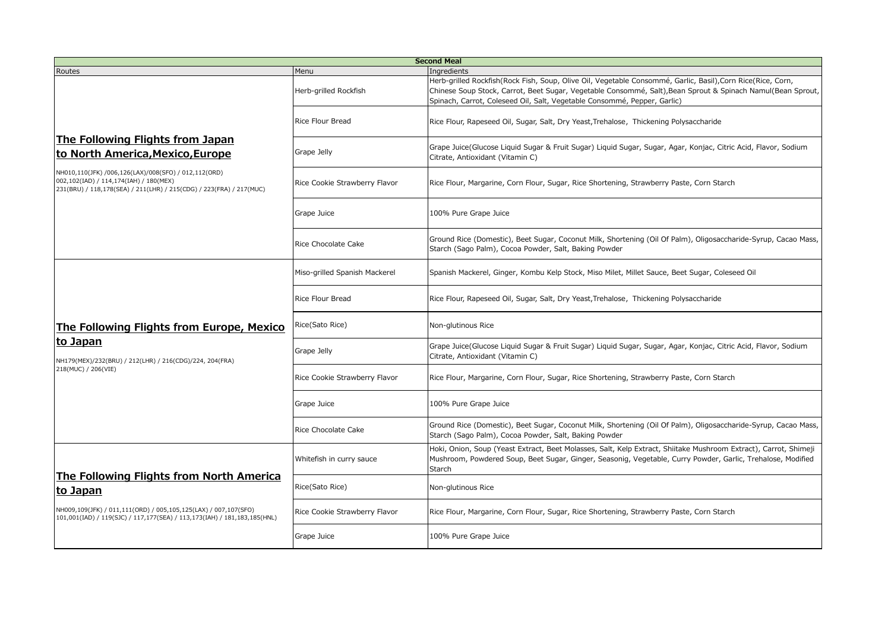| <b>Second Meal</b>                                                                                                                                                                                                                            |                               |                                                                                                                                                                                                                                                                                                        |  |  |
|-----------------------------------------------------------------------------------------------------------------------------------------------------------------------------------------------------------------------------------------------|-------------------------------|--------------------------------------------------------------------------------------------------------------------------------------------------------------------------------------------------------------------------------------------------------------------------------------------------------|--|--|
| Routes                                                                                                                                                                                                                                        | Menu                          | Ingredients                                                                                                                                                                                                                                                                                            |  |  |
| The Following Flights from Japan<br>to North America, Mexico, Europe<br>NH010,110(JFK) /006,126(LAX)/008(SFO) / 012,112(ORD)<br>002,102(IAD) / 114,174(IAH) / 180(MEX)<br>231(BRU) / 118,178(SEA) / 211(LHR) / 215(CDG) / 223(FRA) / 217(MUC) | Herb-grilled Rockfish         | Herb-grilled Rockfish(Rock Fish, Soup, Olive Oil, Vegetable Consommé, Garlic, Basil), Corn Rice(Rice, Corn,<br>Chinese Soup Stock, Carrot, Beet Sugar, Vegetable Consommé, Salt), Bean Sprout & Spinach Namul(Bean Sprout,<br>Spinach, Carrot, Coleseed Oil, Salt, Vegetable Consommé, Pepper, Garlic) |  |  |
|                                                                                                                                                                                                                                               | <b>Rice Flour Bread</b>       | Rice Flour, Rapeseed Oil, Sugar, Salt, Dry Yeast, Trehalose, Thickening Polysaccharide                                                                                                                                                                                                                 |  |  |
|                                                                                                                                                                                                                                               | Grape Jelly                   | Grape Juice(Glucose Liquid Sugar & Fruit Sugar) Liquid Sugar, Sugar, Agar, Konjac, Citric Acid, Flavor, Sodium<br>Citrate, Antioxidant (Vitamin C)                                                                                                                                                     |  |  |
|                                                                                                                                                                                                                                               | Rice Cookie Strawberry Flavor | Rice Flour, Margarine, Corn Flour, Sugar, Rice Shortening, Strawberry Paste, Corn Starch                                                                                                                                                                                                               |  |  |
|                                                                                                                                                                                                                                               | Grape Juice                   | 100% Pure Grape Juice                                                                                                                                                                                                                                                                                  |  |  |
|                                                                                                                                                                                                                                               | Rice Chocolate Cake           | Ground Rice (Domestic), Beet Sugar, Coconut Milk, Shortening (Oil Of Palm), Oligosaccharide-Syrup, Cacao Mass,<br>Starch (Sago Palm), Cocoa Powder, Salt, Baking Powder                                                                                                                                |  |  |
| The Following Flights from Europe, Mexico<br>to Japan<br>NH179(MEX)/232(BRU) / 212(LHR) / 216(CDG)/224, 204(FRA)<br>218(MUC) / 206(VIE)                                                                                                       | Miso-grilled Spanish Mackerel | Spanish Mackerel, Ginger, Kombu Kelp Stock, Miso Milet, Millet Sauce, Beet Sugar, Coleseed Oil                                                                                                                                                                                                         |  |  |
|                                                                                                                                                                                                                                               | Rice Flour Bread              | Rice Flour, Rapeseed Oil, Sugar, Salt, Dry Yeast, Trehalose, Thickening Polysaccharide                                                                                                                                                                                                                 |  |  |
|                                                                                                                                                                                                                                               | Rice(Sato Rice)               | Non-glutinous Rice                                                                                                                                                                                                                                                                                     |  |  |
|                                                                                                                                                                                                                                               | Grape Jelly                   | Grape Juice(Glucose Liquid Sugar & Fruit Sugar) Liquid Sugar, Sugar, Agar, Konjac, Citric Acid, Flavor, Sodium<br>Citrate, Antioxidant (Vitamin C)                                                                                                                                                     |  |  |
|                                                                                                                                                                                                                                               | Rice Cookie Strawberry Flavor | Rice Flour, Margarine, Corn Flour, Sugar, Rice Shortening, Strawberry Paste, Corn Starch                                                                                                                                                                                                               |  |  |
|                                                                                                                                                                                                                                               | Grape Juice                   | 100% Pure Grape Juice                                                                                                                                                                                                                                                                                  |  |  |
|                                                                                                                                                                                                                                               | Rice Chocolate Cake           | Ground Rice (Domestic), Beet Sugar, Coconut Milk, Shortening (Oil Of Palm), Oligosaccharide-Syrup, Cacao Mass,<br>Starch (Sago Palm), Cocoa Powder, Salt, Baking Powder                                                                                                                                |  |  |
| The Following Flights from North America<br>to Japan<br>NH009,109(JFK) / 011,111(ORD) / 005,105,125(LAX) / 007,107(SFO)<br>101,001(IAD) / 119(SJC) / 117,177(SEA) / 113,173(IAH) / 181,183,185(HNL)                                           | Whitefish in curry sauce      | Hoki, Onion, Soup (Yeast Extract, Beet Molasses, Salt, Kelp Extract, Shiitake Mushroom Extract), Carrot, Shimeji<br>Mushroom, Powdered Soup, Beet Sugar, Ginger, Seasonig, Vegetable, Curry Powder, Garlic, Trehalose, Modified<br>Starch                                                              |  |  |
|                                                                                                                                                                                                                                               | Rice(Sato Rice)               | Non-glutinous Rice                                                                                                                                                                                                                                                                                     |  |  |
|                                                                                                                                                                                                                                               | Rice Cookie Strawberry Flavor | Rice Flour, Margarine, Corn Flour, Sugar, Rice Shortening, Strawberry Paste, Corn Starch                                                                                                                                                                                                               |  |  |
|                                                                                                                                                                                                                                               | Grape Juice                   | 100% Pure Grape Juice                                                                                                                                                                                                                                                                                  |  |  |